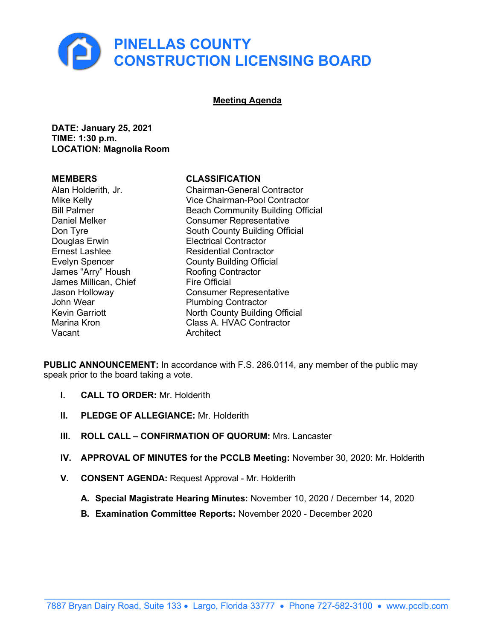

#### **Meeting Agenda**

**DATE: January 25, 2021 TIME: 1:30 p.m. LOCATION: Magnolia Room**

Douglas Erwin **Electrical Contractor** James "Arry" Housh **Roofing Contract Roofing Contract**<br>James Millican Chief **Report Contract Contract** James Millican, Chief Vacant **Architect** 

#### **MEMBERS CLASSIFICATION**

Alan Holderith, Jr. Chairman-General Contractor Vice Chairman-Pool Contractor Bill Palmer Beach Community Building Official<br>Daniel Melker Consumer Representative **Consumer Representative** Don Tyre South County Building Official Ernest Lashlee Residential Contractor Evelyn Spencer<br>
James "Arry" Housh **County Building Official**<br>
Roofing Contractor Jason Holloway **Consumer Representative**<br>John Wear **Consumer Plumbing Contractor** Plumbing Contractor Kevin Garriott North County Building Official Marina Kron Class A. HVAC Contractor

**PUBLIC ANNOUNCEMENT:** In accordance with F.S. 286.0114, any member of the public may speak prior to the board taking a vote.

- **I. CALL TO ORDER:** Mr. Holderith
- **II. PLEDGE OF ALLEGIANCE:** Mr. Holderith
- **III. ROLL CALL CONFIRMATION OF QUORUM:** Mrs. Lancaster
- **IV. APPROVAL OF MINUTES for the PCCLB Meeting:** November 30, 2020: Mr. Holderith
- **V. CONSENT AGENDA:** Request Approval Mr. Holderith
	- **A. Special Magistrate Hearing Minutes:** November 10, 2020 / December 14, 2020
	- **B. Examination Committee Reports:** [November 2020 December 2020](https://pinellasgov.sharepoint.com/sites/BCCExt/CLB/Documents/%236B_Examination_Committee_Reports_Aug2020-Nov2020.pdf)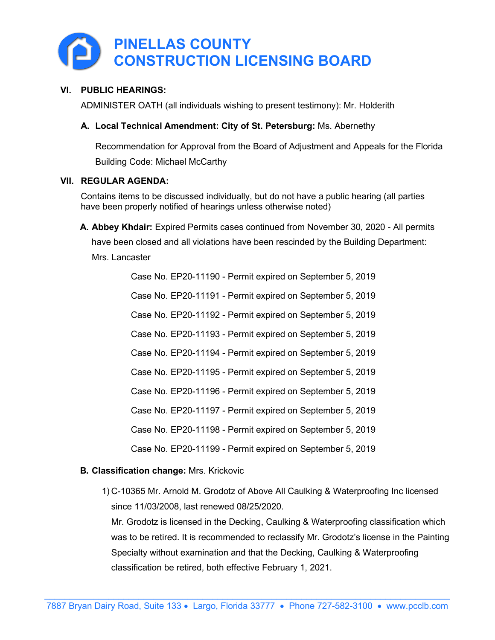

#### **VI. PUBLIC HEARINGS:**

ADMINISTER OATH (all individuals wishing to present testimony): Mr. Holderith

#### **A. Local Technical Amendment: City of St. Petersburg:** Ms. Abernethy

Recommendation for Approval from the Board of Adjustment and Appeals for the Florida Building Code: Michael McCarthy

#### **VII. REGULAR AGENDA:**

Contains items to be discussed individually, but do not have a public hearing (all parties have been properly notified of hearings unless otherwise noted)

**A. Abbey Khdair:** Expired Permits cases continued from November 30, 2020 - All permits have been closed and all violations have been rescinded by the Building Department: Mrs. Lancaster

> Case No. EP20-11190 - Permit expired on September 5, 2019 Case No. EP20-11191 - Permit expired on September 5, 2019 Case No. EP20-11192 - Permit expired on September 5, 2019 Case No. EP20-11193 - Permit expired on September 5, 2019 Case No. EP20-11194 - Permit expired on September 5, 2019 Case No. EP20-11195 - Permit expired on September 5, 2019 Case No. EP20-11196 - Permit expired on September 5, 2019 Case No. EP20-11197 - Permit expired on September 5, 2019 Case No. EP20-11198 - Permit expired on September 5, 2019 Case No. EP20-11199 - Permit expired on September 5, 2019

#### **B. Classification change:** Mrs. Krickovic

1) C-10365 Mr. Arnold M. Grodotz of Above All Caulking & Waterproofing Inc licensed since 11/03/2008, last renewed 08/25/2020.

Mr. Grodotz is licensed in the Decking, Caulking & Waterproofing classification which was to be retired. It is recommended to reclassify Mr. Grodotz's license in the Painting Specialty without examination and that the Decking, Caulking & Waterproofing classification be retired, both effective February 1, 2021.